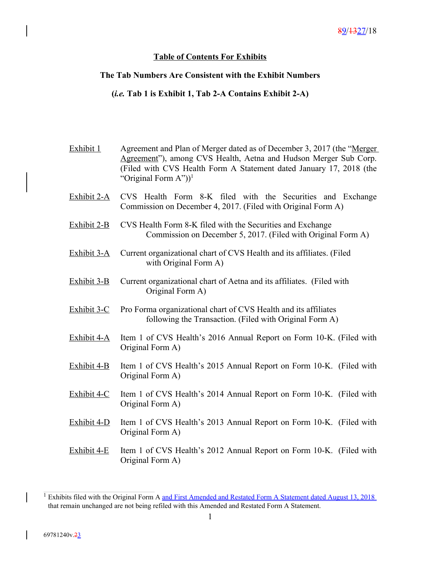## **Table of Contents For Exhibits**

## **The Tab Numbers Are Consistent with the Exhibit Numbers**

## **(***i.e.* **Tab 1 is Exhibit 1, Tab 2-A Contains Exhibit 2-A)**

| Exhibit 1     | Agreement and Plan of Merger dated as of December 3, 2017 (the "Merger<br>Agreement"), among CVS Health, Aetna and Hudson Merger Sub Corp.<br>(Filed with CVS Health Form A Statement dated January 17, 2018 (the<br>"Original Form $A$ ")) <sup>1</sup> |
|---------------|----------------------------------------------------------------------------------------------------------------------------------------------------------------------------------------------------------------------------------------------------------|
| Exhibit 2-A   | CVS Health Form 8-K filed with the Securities and Exchange<br>Commission on December 4, 2017. (Filed with Original Form A)                                                                                                                               |
| Exhibit $2-B$ | CVS Health Form 8-K filed with the Securities and Exchange<br>Commission on December 5, 2017. (Filed with Original Form A)                                                                                                                               |
| Exhibit $3-A$ | Current organizational chart of CVS Health and its affiliates. (Filed<br>with Original Form A)                                                                                                                                                           |
| Exhibit 3-B   | Current organizational chart of Aetna and its affiliates. (Filed with<br>Original Form A)                                                                                                                                                                |
| Exhibit 3-C   | Pro Forma organizational chart of CVS Health and its affiliates<br>following the Transaction. (Filed with Original Form A)                                                                                                                               |
| Exhibit 4-A   | Item 1 of CVS Health's 2016 Annual Report on Form 10-K. (Filed with<br>Original Form A)                                                                                                                                                                  |
| Exhibit 4-B   | Item 1 of CVS Health's 2015 Annual Report on Form 10-K. (Filed with<br>Original Form A)                                                                                                                                                                  |
| Exhibit 4-C   | Item 1 of CVS Health's 2014 Annual Report on Form 10-K. (Filed with<br>Original Form A)                                                                                                                                                                  |
| Exhibit 4-D   | Item 1 of CVS Health's 2013 Annual Report on Form 10-K. (Filed with<br>Original Form A)                                                                                                                                                                  |
| Exhibit $4-E$ | Item 1 of CVS Health's 2012 Annual Report on Form 10-K. (Filed with<br>Original Form A)                                                                                                                                                                  |
|               |                                                                                                                                                                                                                                                          |

<sup>&</sup>lt;sup>1</sup> Exhibits filed with the Original Form A and First Amended and Restated Form A Statement dated August 13, 2018 that remain unchanged are not being refiled with this Amended and Restated Form A Statement.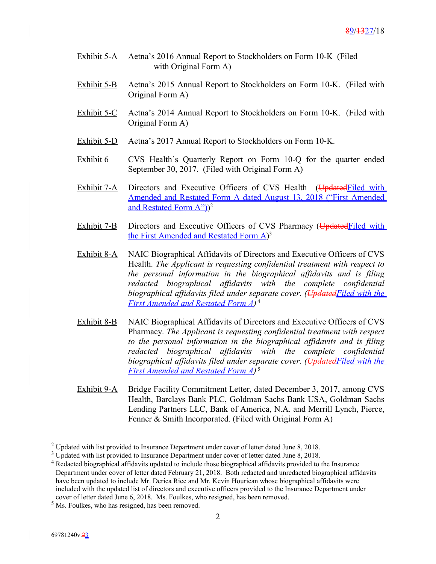- Exhibit 5-A Aetna's 2016 Annual Report to Stockholders on Form 10-K (Filed with Original Form A)
- Exhibit 5-B Aetna's 2015 Annual Report to Stockholders on Form 10-K. (Filed with Original Form A)
- Exhibit 5-C Aetna's 2014 Annual Report to Stockholders on Form 10-K. (Filed with Original Form A)
- Exhibit 5-D Aetna's 2017 Annual Report to Stockholders on Form 10-K.
- Exhibit 6 CVS Health's Quarterly Report on Form 10-Q for the quarter ended September 30, 2017. (Filed with Original Form A)
- Exhibit 7-A Directors and Executive Officers of CVS Health (Updated Filed with Amended and Restated Form A dated August 13, 2018 ("First Amended and Restated Form A"))<sup>2</sup>
- Exhibit 7-B Directors and Executive Officers of CVS Pharmacy (Updated Filed with the First Amended and Restated Form A)<sup>3</sup>
- Exhibit 8-A NAIC Biographical Affidavits of Directors and Executive Officers of CVS Health. *The Applicant is requesting confidential treatment with respect to the personal information in the biographical affidavits and is filing redacted biographical affidavits with the complete confidential biographical affidavits filed under separate cover. (UpdatedFiled with the First Amended and Restated Form A)* 4
- Exhibit 8-B NAIC Biographical Affidavits of Directors and Executive Officers of CVS Pharmacy. *The Applicant is requesting confidential treatment with respect to the personal information in the biographical affidavits and is filing redacted biographical affidavits with the complete confidential biographical affidavits filed under separate cover. (UpdatedFiled with the First Amended and Restated Form A)* 5
- Exhibit 9-A Bridge Facility Commitment Letter, dated December 3, 2017, among CVS Health, Barclays Bank PLC, Goldman Sachs Bank USA, Goldman Sachs Lending Partners LLC, Bank of America, N.A. and Merrill Lynch, Pierce, Fenner & Smith Incorporated. (Filed with Original Form A)

<sup>&</sup>lt;sup>2</sup> Updated with list provided to Insurance Department under cover of letter dated June 8, 2018.

 $3 \text{ U}$  Updated with list provided to Insurance Department under cover of letter dated June 8, 2018.

<sup>&</sup>lt;sup>4</sup> Redacted biographical affidavits updated to include those biographical affidavits provided to the Insurance Department under cover of letter dated February 21, 2018. Both redacted and unredacted biographical affidavits have been updated to include Mr. Derica Rice and Mr. Kevin Hourican whose biographical affidavits were included with the updated list of directors and executive officers provided to the Insurance Department under cover of letter dated June 6, 2018. Ms. Foulkes, who resigned, has been removed.

<sup>&</sup>lt;sup>5</sup> Ms. Foulkes, who has resigned, has been removed.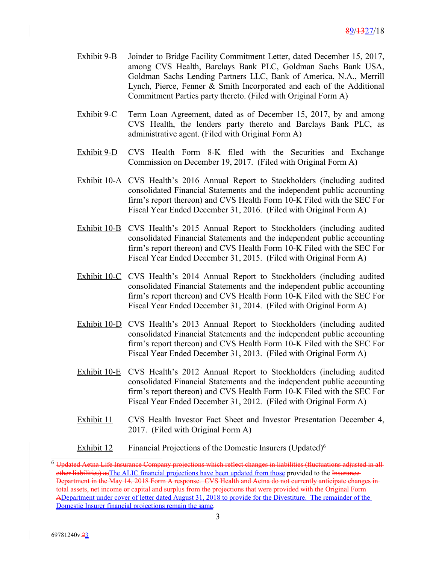- Exhibit 9-B Joinder to Bridge Facility Commitment Letter, dated December 15, 2017, among CVS Health, Barclays Bank PLC, Goldman Sachs Bank USA, Goldman Sachs Lending Partners LLC, Bank of America, N.A., Merrill Lynch, Pierce, Fenner & Smith Incorporated and each of the Additional Commitment Parties party thereto. (Filed with Original Form A)
- Exhibit 9-C Term Loan Agreement, dated as of December 15, 2017, by and among CVS Health, the lenders party thereto and Barclays Bank PLC, as administrative agent. (Filed with Original Form A)
- Exhibit 9-D CVS Health Form 8-K filed with the Securities and Exchange Commission on December 19, 2017. (Filed with Original Form A)
- Exhibit 10-A CVS Health's 2016 Annual Report to Stockholders (including audited consolidated Financial Statements and the independent public accounting firm's report thereon) and CVS Health Form 10-K Filed with the SEC For Fiscal Year Ended December 31, 2016. (Filed with Original Form A)
- Exhibit 10-B CVS Health's 2015 Annual Report to Stockholders (including audited consolidated Financial Statements and the independent public accounting firm's report thereon) and CVS Health Form 10-K Filed with the SEC For Fiscal Year Ended December 31, 2015. (Filed with Original Form A)
- Exhibit 10-C CVS Health's 2014 Annual Report to Stockholders (including audited consolidated Financial Statements and the independent public accounting firm's report thereon) and CVS Health Form 10-K Filed with the SEC For Fiscal Year Ended December 31, 2014. (Filed with Original Form A)
- Exhibit 10-D CVS Health's 2013 Annual Report to Stockholders (including audited consolidated Financial Statements and the independent public accounting firm's report thereon) and CVS Health Form 10-K Filed with the SEC For Fiscal Year Ended December 31, 2013. (Filed with Original Form A)
- Exhibit 10-E CVS Health's 2012 Annual Report to Stockholders (including audited consolidated Financial Statements and the independent public accounting firm's report thereon) and CVS Health Form 10-K Filed with the SEC For Fiscal Year Ended December 31, 2012. (Filed with Original Form A)
- Exhibit 11 CVS Health Investor Fact Sheet and Investor Presentation December 4, 2017. (Filed with Original Form A)
- Exhibit 12 Financial Projections of the Domestic Insurers (Updated)<sup>6</sup>

<sup>&</sup>lt;sup>6</sup> Updated Aetna Life Insurance Company projections which reflect changes in liabilities (fluctuations adjusted in allother liabilities) as The ALIC financial projections have been updated from those provided to the Insurance-Department in the May 14, 2018 Form A response. CVS Health and Aetna do not currently anticipate changes into<br>the day assets, net income or capital and surplus from the projections that were provided with the Original Form net income or capital and surplus from the projections that were provided with the Original Form-ADepartment under cover of letter dated August 31, 2018 to provide for the Divestiture. The remainder of the Domestic Insurer financial projections remain the same.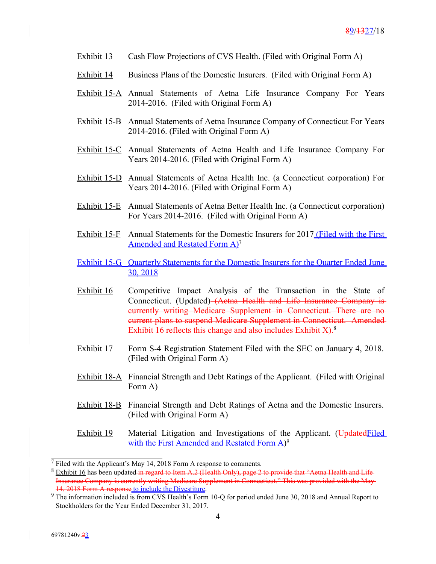- Exhibit 13 Cash Flow Projections of CVS Health. (Filed with Original Form A)
- Exhibit 14 Business Plans of the Domestic Insurers. (Filed with Original Form A)
- Exhibit 15-A Annual Statements of Aetna Life Insurance Company For Years 2014-2016. (Filed with Original Form A)
- Exhibit 15-B Annual Statements of Aetna Insurance Company of Connecticut For Years 2014-2016. (Filed with Original Form A)
- Exhibit 15-C Annual Statements of Aetna Health and Life Insurance Company For Years 2014-2016. (Filed with Original Form A)
- Exhibit 15-D Annual Statements of Aetna Health Inc. (a Connecticut corporation) For Years 2014-2016. (Filed with Original Form A)
- Exhibit 15-E Annual Statements of Aetna Better Health Inc. (a Connecticut corporation) For Years 2014-2016. (Filed with Original Form A)
- Exhibit 15-F Annual Statements for the Domestic Insurers for 2017 (Filed with the First Amended and Restated Form A)<sup>7</sup>

Exhibit 15-G Quarterly Statements for the Domestic Insurers for the Quarter Ended June 30, 2018

- Exhibit 16 Competitive Impact Analysis of the Transaction in the State of Connecticut. (Updated) (Aetna Health and Life Insurance Company is currently writing Medicare Supplement in Connecticut. There are no current plans to suspend Medicare Supplement in Connecticut. Amended Exhibit 16 reflects this change and also includes Exhibit X).<sup>8</sup>
- Exhibit 17 Form S-4 Registration Statement Filed with the SEC on January 4, 2018. (Filed with Original Form A)
- Exhibit 18-A Financial Strength and Debt Ratings of the Applicant. (Filed with Original Form A)
- Exhibit 18-B Financial Strength and Debt Ratings of Aetna and the Domestic Insurers. (Filed with Original Form A)
- Exhibit 19 Material Litigation and Investigations of the Applicant. (Updated Filed with the First Amended and Restated Form A)<sup>9</sup>

 $<sup>7</sup>$  Filed with the Applicant's May 14, 2018 Form A response to comments.</sup>

 $8$  Exhibit 16 has been updated in regard to Item A.2 (Health Only), page 2 to provide that "Aetna Health and Life-Insurance Company is currently writing Medicare Supplement in Connecticut." This was provided with the May 14, 2018 Form A response to include the Divestiture.

<sup>&</sup>lt;sup>9</sup> The information included is from CVS Health's Form 10-Q for period ended June 30, 2018 and Annual Report to Stockholders for the Year Ended December 31, 2017.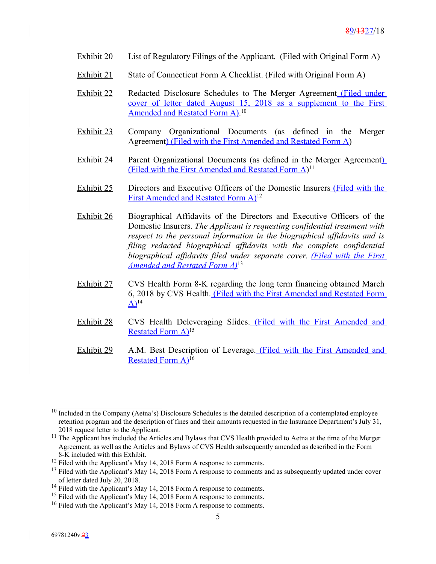- Exhibit 20 List of Regulatory Filings of the Applicant. (Filed with Original Form A)
- Exhibit 21 State of Connecticut Form A Checklist. (Filed with Original Form A)
- **Exhibit 22** Redacted Disclosure Schedules to The Merger Agreement (Filed under cover of letter dated August 15, 2018 as a supplement to the First Amended and Restated Form A).<sup>10</sup>
- Exhibit 23 Company Organizational Documents (as defined in the Merger Agreement) (Filed with the First Amended and Restated Form A)
- Exhibit 24 Parent Organizational Documents (as defined in the Merger Agreement) (Filed with the First Amended and Restated Form A)<sup>11</sup>
- Exhibit 25 Directors and Executive Officers of the Domestic Insurers (Filed with the First Amended and Restated Form A)<sup>12</sup>
- Exhibit 26 Biographical Affidavits of the Directors and Executive Officers of the Domestic Insurers. *The Applicant is requesting confidential treatment with respect to the personal information in the biographical affidavits and is filing redacted biographical affidavits with the complete confidential biographical affidavits filed under separate cover. (Filed with the First Amended and Restated Form A)*<sup>13</sup>
- Exhibit 27 CVS Health Form 8-K regarding the long term financing obtained March 6, 2018 by CVS Health. (Filed with the First Amended and Restated Form  $A$ <sup>14</sup>
- Exhibit 28 CVS Health Deleveraging Slides. (Filed with the First Amended and Restated Form A)<sup>15</sup>
- Exhibit 29 A.M. Best Description of Leverage. (Filed with the First Amended and Restated Form A)<sup>16</sup>

 $10$  Included in the Company (Aetna's) Disclosure Schedules is the detailed description of a contemplated employee retention program and the description of fines and their amounts requested in the Insurance Department's July 31, 2018 request letter to the Applicant.

<sup>&</sup>lt;sup>11</sup> The Applicant has included the Articles and Bylaws that CVS Health provided to Aetna at the time of the Merger Agreement, as well as the Articles and Bylaws of CVS Health subsequently amended as described in the Form 8-K included with this Exhibit.

<sup>&</sup>lt;sup>12</sup> Filed with the Applicant's May 14, 2018 Form A response to comments.

<sup>&</sup>lt;sup>13</sup> Filed with the Applicant's May 14, 2018 Form A response to comments and as subsequently updated under cover of letter dated July 20, 2018.

<sup>&</sup>lt;sup>14</sup> Filed with the Applicant's May 14, 2018 Form A response to comments.

<sup>&</sup>lt;sup>15</sup> Filed with the Applicant's May 14, 2018 Form A response to comments.

<sup>&</sup>lt;sup>16</sup> Filed with the Applicant's May 14, 2018 Form A response to comments.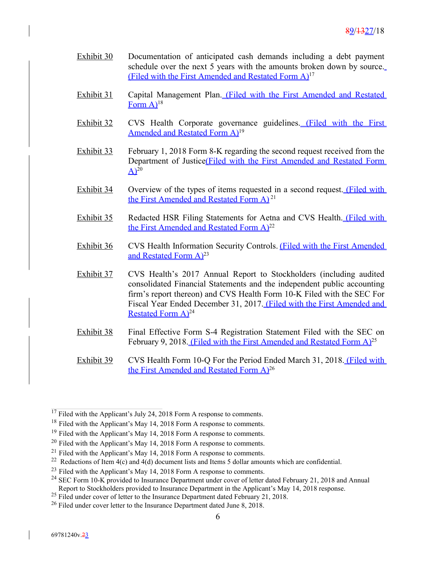- Exhibit 30 Documentation of anticipated cash demands including a debt payment schedule over the next 5 years with the amounts broken down by source. (Filed with the First Amended and Restated Form A)<sup>17</sup>
- Exhibit 31 Capital Management Plan. (Filed with the First Amended and Restated Form  $A$ <sup>18</sup>
- Exhibit 32 CVS Health Corporate governance guidelines. (Filed with the First Amended and Restated Form A)<sup>19</sup>
- Exhibit 33 February 1, 2018 Form 8-K regarding the second request received from the Department of Justice(Filed with the First Amended and Restated Form  $\overline{A}$ <sup>20</sup>
- Exhibit 34 Overview of the types of items requested in a second request. (Filed with the First Amended and Restated Form A)<sup>21</sup>
- Exhibit 35 Redacted HSR Filing Statements for Aetna and CVS Health. (Filed with the First Amended and Restated Form A)<sup>22</sup>
- Exhibit 36 CVS Health Information Security Controls. (Filed with the First Amended and Restated Form  $A)^{23}$
- Exhibit 37 CVS Health's 2017 Annual Report to Stockholders (including audited consolidated Financial Statements and the independent public accounting firm's report thereon) and CVS Health Form 10-K Filed with the SEC For Fiscal Year Ended December 31, 2017. (Filed with the First Amended and Restated Form  $A^{24}$
- Exhibit 38 Final Effective Form S-4 Registration Statement Filed with the SEC on February 9, 2018. (Filed with the First Amended and Restated Form A)<sup>25</sup>
- Exhibit 39 CVS Health Form 10-Q For the Period Ended March 31, 2018. (Filed with the First Amended and Restated Form A)<sup>26</sup>

 $17$  Filed with the Applicant's July 24, 2018 Form A response to comments.

<sup>&</sup>lt;sup>18</sup> Filed with the Applicant's May 14, 2018 Form A response to comments.

<sup>&</sup>lt;sup>19</sup> Filed with the Applicant's May 14, 2018 Form A response to comments.

 $20$  Filed with the Applicant's May 14, 2018 Form A response to comments.

<sup>&</sup>lt;sup>21</sup> Filed with the Applicant's May 14, 2018 Form A response to comments.

<sup>&</sup>lt;sup>22</sup> Redactions of Item  $4(c)$  and  $4(d)$  document lists and Items 5 dollar amounts which are confidential.

<sup>&</sup>lt;sup>23</sup> Filed with the Applicant's May 14, 2018 Form A response to comments.

<sup>&</sup>lt;sup>24</sup> SEC Form 10-K provided to Insurance Department under cover of letter dated February 21, 2018 and Annual Report to Stockholders provided to Insurance Department in the Applicant's May 14, 2018 response.

<sup>&</sup>lt;sup>25</sup> Filed under cover of letter to the Insurance Department dated February 21, 2018.

<sup>&</sup>lt;sup>26</sup> Filed under cover letter to the Insurance Department dated June 8, 2018.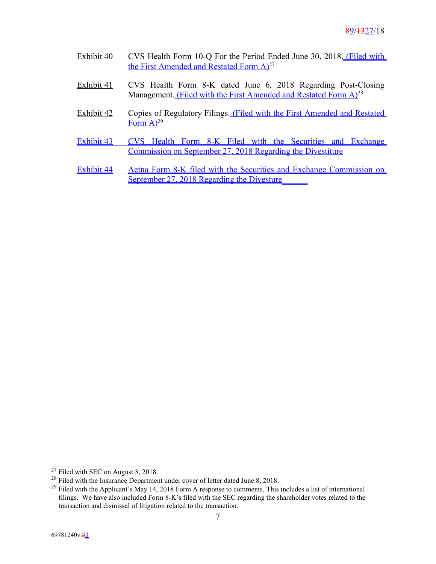- Exhibit 40 CVS Health Form 10-Q For the Period Ended June 30, 2018. (Filed with the First Amended and Restated Form A)<sup>27</sup>
- Exhibit 41 CVS Health Form 8-K dated June 6, 2018 Regarding Post-Closing Management. (Filed with the First Amended and Restated Form A)<sup>28</sup>
- Exhibit 42 Copies of Regulatory Filings. (Filed with the First Amended and Restated Form  $A)^{29}$
- Exhibit 43 CVS Health Form 8-K Filed with the Securities and Exchange Commission on September 27, 2018 Regarding the Divestiture
- Exhibit 44 Aetna Form 8-K filed with the Securities and Exchange Commission on September 27, 2018 Regarding the Divesture

 $27$  Filed with SEC on August 8, 2018.

<sup>&</sup>lt;sup>28</sup> Filed with the Insurance Department under cover of letter dated June 8, 2018.

<sup>&</sup>lt;sup>29</sup> Filed with the Applicant's May 14, 2018 Form A response to comments. This includes a list of international filings. We have also included Form 8-K's filed with the SEC regarding the shareholder votes related to the transaction and dismissal of litigation related to the transaction.